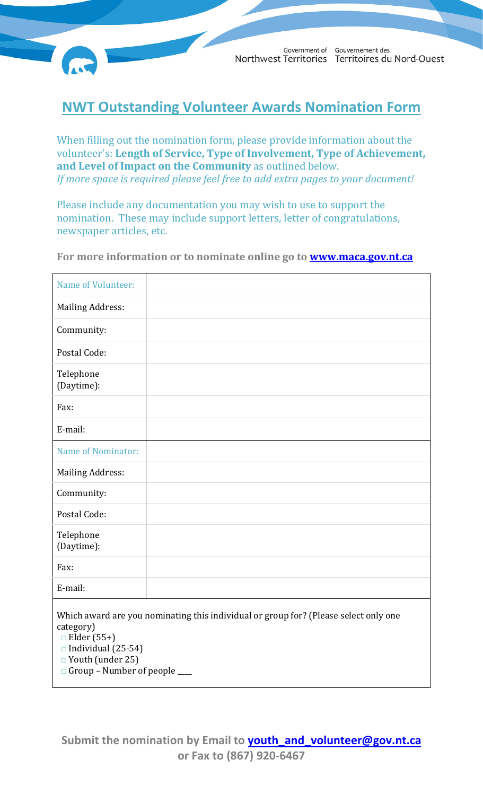Government of Gouvernement des Northwest Territories Territoires du Nord-Ouest

## **NWT Outstanding Volunteer Awards Nomination Form**

When filling out the nomination form, please provide information about the volunteer's: **Length of Service, Type of Involvement, Type of Achievement, and Level of Impact on the Community** as outlined below. *If more space is required please feel free to add extra pages to your document!*

Please include any documentation you may wish to use to support the nomination. These may include support letters, letter of congratulations, newspaper articles, etc.

**For more information or to nominate online go to [www.maca.gov.nt.ca](http://www.maca.gov.nt.ca/)**

| Name of Volunteer:                                                                                                                                                                                                 |  |
|--------------------------------------------------------------------------------------------------------------------------------------------------------------------------------------------------------------------|--|
| <b>Mailing Address:</b>                                                                                                                                                                                            |  |
| Community:                                                                                                                                                                                                         |  |
| Postal Code:                                                                                                                                                                                                       |  |
| Telephone<br>(Daytime):                                                                                                                                                                                            |  |
| Fax:                                                                                                                                                                                                               |  |
| E-mail:                                                                                                                                                                                                            |  |
| <b>Name of Nominator:</b>                                                                                                                                                                                          |  |
| <b>Mailing Address:</b>                                                                                                                                                                                            |  |
| Community:                                                                                                                                                                                                         |  |
| Postal Code:                                                                                                                                                                                                       |  |
| Telephone<br>(Daytime):                                                                                                                                                                                            |  |
| Fax:                                                                                                                                                                                                               |  |
| E-mail:                                                                                                                                                                                                            |  |
| Which award are you nominating this individual or group for? (Please select only one<br>category)<br>$\Box$ Elder (55+)<br>$\Box$ Individual (25-54)<br>□ Youth (under 25)<br>$\Box$ Group - Number of people ____ |  |